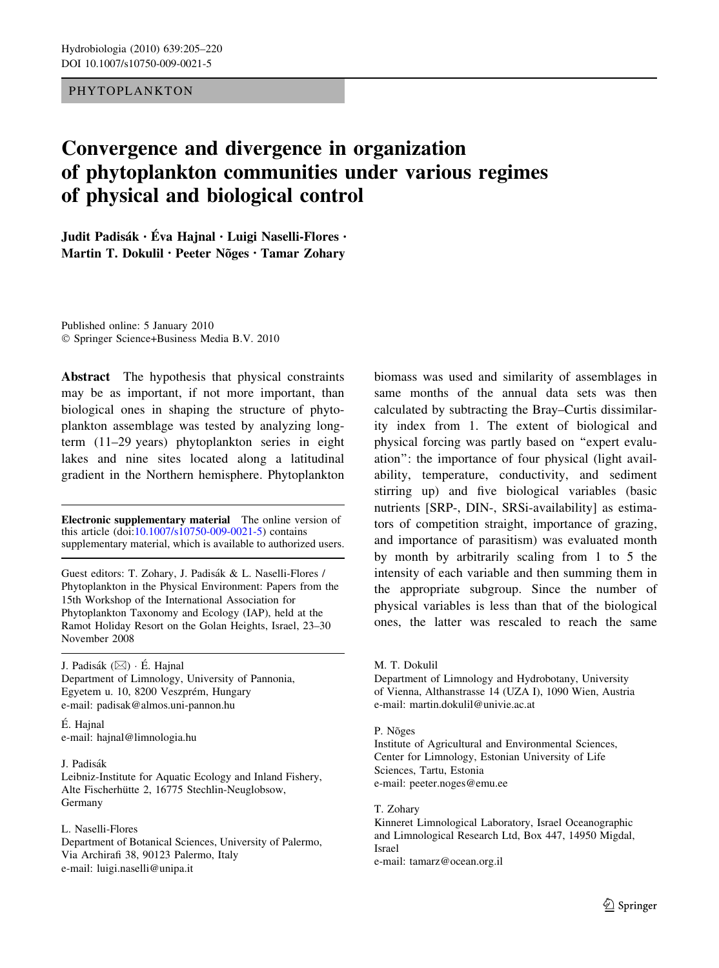# PHYTOPLANKTON

# Convergence and divergence in organization of phytoplankton communities under various regimes of physical and biological control

Judit Padisák • Éva Hajnal • Luigi Naselli-Flores • Martin T. Dokulil · Peeter Nõges · Tamar Zohary

Published online: 5 January 2010 Springer Science+Business Media B.V. 2010

Abstract The hypothesis that physical constraints may be as important, if not more important, than biological ones in shaping the structure of phytoplankton assemblage was tested by analyzing longterm (11–29 years) phytoplankton series in eight lakes and nine sites located along a latitudinal gradient in the Northern hemisphere. Phytoplankton

Electronic supplementary material The online version of this article (doi[:10.1007/s10750-009-0021-5\)](http://dx.doi.org/10.1007/s10750-009-0021-5) contains supplementary material, which is available to authorized users.

Guest editors: T. Zohary, J. Padisák & L. Naselli-Flores / Phytoplankton in the Physical Environment: Papers from the 15th Workshop of the International Association for Phytoplankton Taxonomy and Ecology (IAP), held at the Ramot Holiday Resort on the Golan Heights, Israel, 23–30 November 2008

J. Padisák  $(\boxtimes)$  · É. Hajnal Department of Limnology, University of Pannonia, Egyetem u. 10, 8200 Veszprém, Hungary e-mail: padisak@almos.uni-pannon.hu

E´. Hajnal e-mail: hajnal@limnologia.hu

#### J. Padisa´k

Leibniz-Institute for Aquatic Ecology and Inland Fishery, Alte Fischerhütte 2, 16775 Stechlin-Neuglobsow, Germany

# L. Naselli-Flores

Department of Botanical Sciences, University of Palermo, Via Archirafi 38, 90123 Palermo, Italy e-mail: luigi.naselli@unipa.it

biomass was used and similarity of assemblages in same months of the annual data sets was then calculated by subtracting the Bray–Curtis dissimilarity index from 1. The extent of biological and physical forcing was partly based on ''expert evaluation'': the importance of four physical (light availability, temperature, conductivity, and sediment stirring up) and five biological variables (basic nutrients [SRP-, DIN-, SRSi-availability] as estimators of competition straight, importance of grazing, and importance of parasitism) was evaluated month by month by arbitrarily scaling from 1 to 5 the intensity of each variable and then summing them in the appropriate subgroup. Since the number of physical variables is less than that of the biological ones, the latter was rescaled to reach the same

#### P. Nõges

Institute of Agricultural and Environmental Sciences, Center for Limnology, Estonian University of Life Sciences, Tartu, Estonia e-mail: peeter.noges@emu.ee

#### T. Zohary

Kinneret Limnological Laboratory, Israel Oceanographic and Limnological Research Ltd, Box 447, 14950 Migdal, Israel e-mail: tamarz@ocean.org.il

M. T. Dokulil

Department of Limnology and Hydrobotany, University of Vienna, Althanstrasse 14 (UZA I), 1090 Wien, Austria e-mail: martin.dokulil@univie.ac.at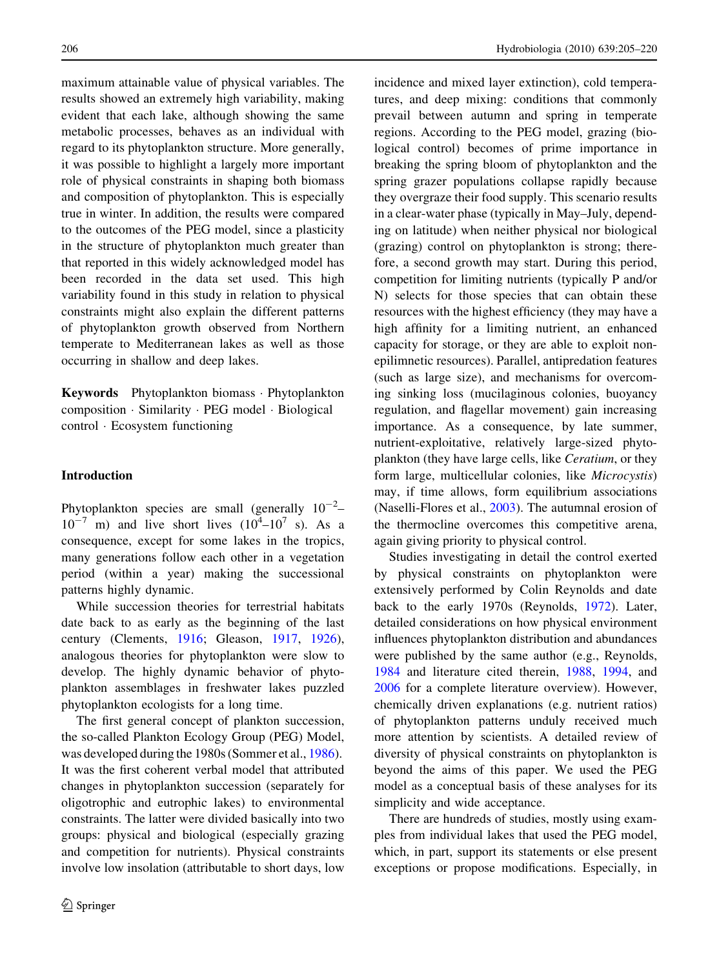maximum attainable value of physical variables. The results showed an extremely high variability, making evident that each lake, although showing the same metabolic processes, behaves as an individual with regard to its phytoplankton structure. More generally, it was possible to highlight a largely more important role of physical constraints in shaping both biomass and composition of phytoplankton. This is especially true in winter. In addition, the results were compared to the outcomes of the PEG model, since a plasticity in the structure of phytoplankton much greater than that reported in this widely acknowledged model has been recorded in the data set used. This high variability found in this study in relation to physical constraints might also explain the different patterns of phytoplankton growth observed from Northern temperate to Mediterranean lakes as well as those occurring in shallow and deep lakes.

Keywords Phytoplankton biomass · Phytoplankton  $composition \cdot Similarity \cdot PEG \text{ model} \cdot Biological$ control · Ecosystem functioning

# Introduction

Phytoplankton species are small (generally  $10^{-2}$ - $10^{-7}$  m) and live short lives  $(10^4 - 10^7$  s). As a consequence, except for some lakes in the tropics, many generations follow each other in a vegetation period (within a year) making the successional patterns highly dynamic.

While succession theories for terrestrial habitats date back to as early as the beginning of the last century (Clements, [1916;](#page-13-0) Gleason, [1917,](#page-13-0) [1926](#page-13-0)), analogous theories for phytoplankton were slow to develop. The highly dynamic behavior of phytoplankton assemblages in freshwater lakes puzzled phytoplankton ecologists for a long time.

The first general concept of plankton succession, the so-called Plankton Ecology Group (PEG) Model, was developed during the 1980s (Sommer et al., [1986\)](#page-15-0). It was the first coherent verbal model that attributed changes in phytoplankton succession (separately for oligotrophic and eutrophic lakes) to environmental constraints. The latter were divided basically into two groups: physical and biological (especially grazing and competition for nutrients). Physical constraints involve low insolation (attributable to short days, low incidence and mixed layer extinction), cold temperatures, and deep mixing: conditions that commonly prevail between autumn and spring in temperate regions. According to the PEG model, grazing (biological control) becomes of prime importance in breaking the spring bloom of phytoplankton and the spring grazer populations collapse rapidly because they overgraze their food supply. This scenario results in a clear-water phase (typically in May–July, depending on latitude) when neither physical nor biological (grazing) control on phytoplankton is strong; therefore, a second growth may start. During this period, competition for limiting nutrients (typically P and/or N) selects for those species that can obtain these resources with the highest efficiency (they may have a high affinity for a limiting nutrient, an enhanced capacity for storage, or they are able to exploit nonepilimnetic resources). Parallel, antipredation features (such as large size), and mechanisms for overcoming sinking loss (mucilaginous colonies, buoyancy regulation, and flagellar movement) gain increasing importance. As a consequence, by late summer, nutrient-exploitative, relatively large-sized phytoplankton (they have large cells, like Ceratium, or they form large, multicellular colonies, like Microcystis) may, if time allows, form equilibrium associations (Naselli-Flores et al., [2003\)](#page-14-0). The autumnal erosion of the thermocline overcomes this competitive arena, again giving priority to physical control.

Studies investigating in detail the control exerted by physical constraints on phytoplankton were extensively performed by Colin Reynolds and date back to the early 1970s (Reynolds, [1972](#page-14-0)). Later, detailed considerations on how physical environment influences phytoplankton distribution and abundances were published by the same author (e.g., Reynolds, [1984](#page-14-0) and literature cited therein, [1988,](#page-14-0) [1994](#page-15-0), and [2006](#page-15-0) for a complete literature overview). However, chemically driven explanations (e.g. nutrient ratios) of phytoplankton patterns unduly received much more attention by scientists. A detailed review of diversity of physical constraints on phytoplankton is beyond the aims of this paper. We used the PEG model as a conceptual basis of these analyses for its simplicity and wide acceptance.

There are hundreds of studies, mostly using examples from individual lakes that used the PEG model, which, in part, support its statements or else present exceptions or propose modifications. Especially, in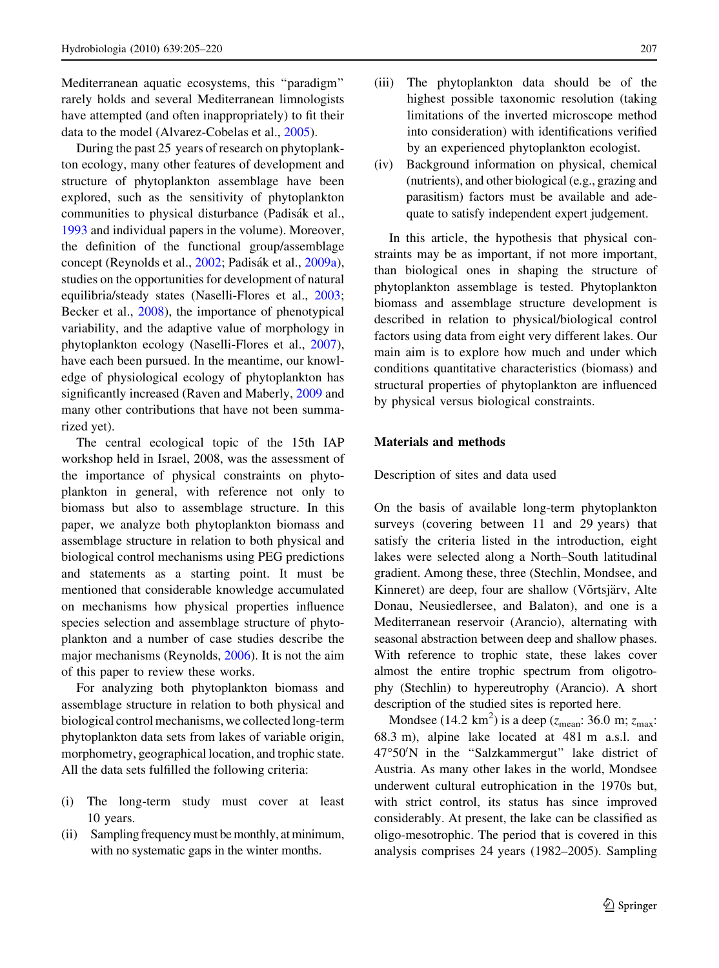Mediterranean aquatic ecosystems, this ''paradigm'' rarely holds and several Mediterranean limnologists have attempted (and often inappropriately) to fit their data to the model (Alvarez-Cobelas et al., [2005](#page-13-0)).

During the past 25 years of research on phytoplankton ecology, many other features of development and structure of phytoplankton assemblage have been explored, such as the sensitivity of phytoplankton communities to physical disturbance (Padisák et al., [1993](#page-14-0) and individual papers in the volume). Moreover, the definition of the functional group/assemblage concept (Reynolds et al., [2002;](#page-15-0) Padisák et al., [2009a](#page-14-0)), studies on the opportunities for development of natural equilibria/steady states (Naselli-Flores et al., [2003](#page-14-0); Becker et al., [2008](#page-13-0)), the importance of phenotypical variability, and the adaptive value of morphology in phytoplankton ecology (Naselli-Flores et al., [2007](#page-14-0)), have each been pursued. In the meantime, our knowledge of physiological ecology of phytoplankton has significantly increased (Raven and Maberly, [2009](#page-14-0) and many other contributions that have not been summarized yet).

The central ecological topic of the 15th IAP workshop held in Israel, 2008, was the assessment of the importance of physical constraints on phytoplankton in general, with reference not only to biomass but also to assemblage structure. In this paper, we analyze both phytoplankton biomass and assemblage structure in relation to both physical and biological control mechanisms using PEG predictions and statements as a starting point. It must be mentioned that considerable knowledge accumulated on mechanisms how physical properties influence species selection and assemblage structure of phytoplankton and a number of case studies describe the major mechanisms (Reynolds, [2006\)](#page-15-0). It is not the aim of this paper to review these works.

For analyzing both phytoplankton biomass and assemblage structure in relation to both physical and biological control mechanisms, we collected long-term phytoplankton data sets from lakes of variable origin, morphometry, geographical location, and trophic state. All the data sets fulfilled the following criteria:

- (i) The long-term study must cover at least 10 years.
- (ii) Sampling frequency must be monthly, at minimum, with no systematic gaps in the winter months.
- (iii) The phytoplankton data should be of the highest possible taxonomic resolution (taking limitations of the inverted microscope method into consideration) with identifications verified by an experienced phytoplankton ecologist.
- (iv) Background information on physical, chemical (nutrients), and other biological (e.g., grazing and parasitism) factors must be available and adequate to satisfy independent expert judgement.

In this article, the hypothesis that physical constraints may be as important, if not more important, than biological ones in shaping the structure of phytoplankton assemblage is tested. Phytoplankton biomass and assemblage structure development is described in relation to physical/biological control factors using data from eight very different lakes. Our main aim is to explore how much and under which conditions quantitative characteristics (biomass) and structural properties of phytoplankton are influenced by physical versus biological constraints.

# Materials and methods

Description of sites and data used

On the basis of available long-term phytoplankton surveys (covering between 11 and 29 years) that satisfy the criteria listed in the introduction, eight lakes were selected along a North–South latitudinal gradient. Among these, three (Stechlin, Mondsee, and Kinneret) are deep, four are shallow (Võrtsjärv, Alte Donau, Neusiedlersee, and Balaton), and one is a Mediterranean reservoir (Arancio), alternating with seasonal abstraction between deep and shallow phases. With reference to trophic state, these lakes cover almost the entire trophic spectrum from oligotrophy (Stechlin) to hypereutrophy (Arancio). A short description of the studied sites is reported here.

Mondsee (14.2  $\text{km}^2$ ) is a deep ( $z_{\text{mean}}$ : 36.0 m;  $z_{\text{max}}$ : 68.3 m), alpine lake located at 481 m a.s.l. and 47°50'N in the "Salzkammergut" lake district of Austria. As many other lakes in the world, Mondsee underwent cultural eutrophication in the 1970s but, with strict control, its status has since improved considerably. At present, the lake can be classified as oligo-mesotrophic. The period that is covered in this analysis comprises 24 years (1982–2005). Sampling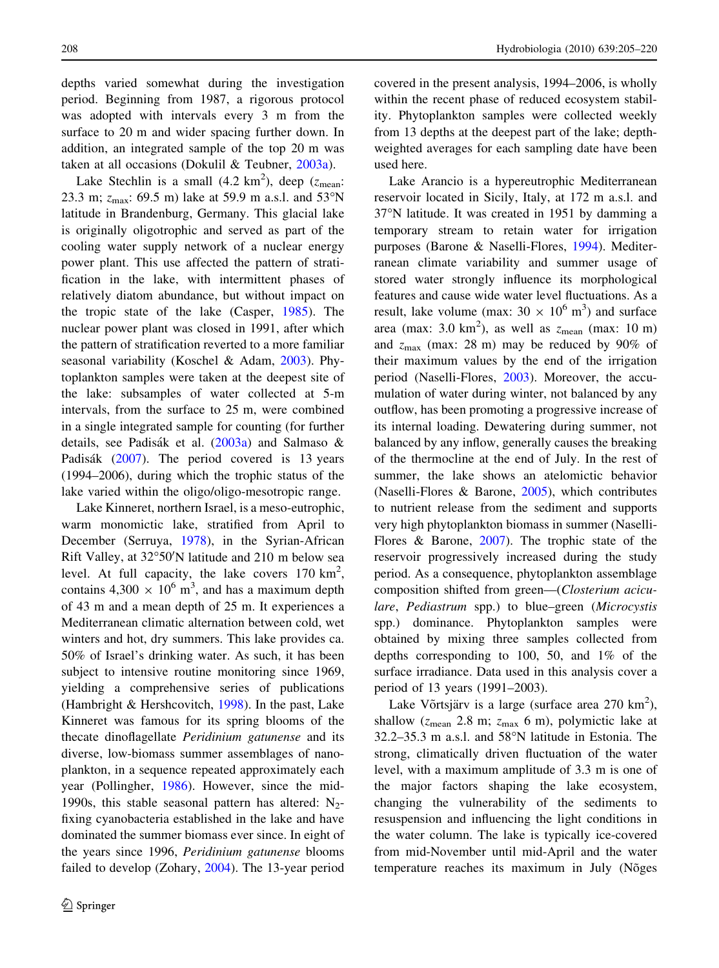depths varied somewhat during the investigation period. Beginning from 1987, a rigorous protocol was adopted with intervals every 3 m from the surface to 20 m and wider spacing further down. In addition, an integrated sample of the top 20 m was taken at all occasions (Dokulil & Teubner, [2003a](#page-13-0)).

Lake Stechlin is a small  $(4.2 \text{ km}^2)$ , deep  $(z_{\text{mean}}$ . 23.3 m;  $z_{\text{max}}$ : 69.5 m) lake at 59.9 m a.s.l. and 53°N latitude in Brandenburg, Germany. This glacial lake is originally oligotrophic and served as part of the cooling water supply network of a nuclear energy power plant. This use affected the pattern of stratification in the lake, with intermittent phases of relatively diatom abundance, but without impact on the tropic state of the lake (Casper, [1985\)](#page-13-0). The nuclear power plant was closed in 1991, after which the pattern of stratification reverted to a more familiar seasonal variability (Koschel & Adam, [2003](#page-14-0)). Phytoplankton samples were taken at the deepest site of the lake: subsamples of water collected at 5-m intervals, from the surface to 25 m, were combined in a single integrated sample for counting (for further details, see Padisák et al. ([2003a](#page-14-0)) and Salmaso & Padisák [\(2007](#page-15-0)). The period covered is 13 years (1994–2006), during which the trophic status of the lake varied within the oligo/oligo-mesotropic range.

Lake Kinneret, northern Israel, is a meso-eutrophic, warm monomictic lake, stratified from April to December (Serruya, [1978](#page-15-0)), in the Syrian-African Rift Valley, at 32°50'N latitude and 210 m below sea level. At full capacity, the lake covers  $170 \text{ km}^2$ , contains  $4,300 \times 10^6$  m<sup>3</sup>, and has a maximum depth of 43 m and a mean depth of 25 m. It experiences a Mediterranean climatic alternation between cold, wet winters and hot, dry summers. This lake provides ca. 50% of Israel's drinking water. As such, it has been subject to intensive routine monitoring since 1969, yielding a comprehensive series of publications (Hambright & Hershcovitch, [1998\)](#page-13-0). In the past, Lake Kinneret was famous for its spring blooms of the thecate dinoflagellate Peridinium gatunense and its diverse, low-biomass summer assemblages of nanoplankton, in a sequence repeated approximately each year (Pollingher, [1986\)](#page-14-0). However, since the mid-1990s, this stable seasonal pattern has altered:  $N_2$ fixing cyanobacteria established in the lake and have dominated the summer biomass ever since. In eight of the years since 1996, Peridinium gatunense blooms failed to develop (Zohary, [2004\)](#page-15-0). The 13-year period covered in the present analysis, 1994–2006, is wholly within the recent phase of reduced ecosystem stability. Phytoplankton samples were collected weekly from 13 depths at the deepest part of the lake; depthweighted averages for each sampling date have been used here.

Lake Arancio is a hypereutrophic Mediterranean reservoir located in Sicily, Italy, at 172 m a.s.l. and 37-N latitude. It was created in 1951 by damming a temporary stream to retain water for irrigation purposes (Barone & Naselli-Flores, [1994](#page-13-0)). Mediterranean climate variability and summer usage of stored water strongly influence its morphological features and cause wide water level fluctuations. As a result, lake volume (max:  $30 \times 10^6$  m<sup>3</sup>) and surface area (max: 3.0 km<sup>2</sup>), as well as  $z_{\text{mean}}$  (max: 10 m) and  $z_{\text{max}}$  (max: 28 m) may be reduced by 90% of their maximum values by the end of the irrigation period (Naselli-Flores, [2003](#page-14-0)). Moreover, the accumulation of water during winter, not balanced by any outflow, has been promoting a progressive increase of its internal loading. Dewatering during summer, not balanced by any inflow, generally causes the breaking of the thermocline at the end of July. In the rest of summer, the lake shows an atelomictic behavior (Naselli-Flores & Barone, [2005\)](#page-14-0), which contributes to nutrient release from the sediment and supports very high phytoplankton biomass in summer (Naselli-Flores & Barone, [2007\)](#page-14-0). The trophic state of the reservoir progressively increased during the study period. As a consequence, phytoplankton assemblage composition shifted from green—(Closterium aciculare, Pediastrum spp.) to blue–green (Microcystis spp.) dominance. Phytoplankton samples were obtained by mixing three samples collected from depths corresponding to 100, 50, and 1% of the surface irradiance. Data used in this analysis cover a period of 13 years (1991–2003).

Lake Võrtsjärv is a large (surface area  $270 \text{ km}^2$ ), shallow ( $z_{\text{mean}}$  2.8 m;  $z_{\text{max}}$  6 m), polymictic lake at  $32.2 - 35.3$  m a.s.l. and  $58^{\circ}$ N latitude in Estonia. The strong, climatically driven fluctuation of the water level, with a maximum amplitude of 3.3 m is one of the major factors shaping the lake ecosystem, changing the vulnerability of the sediments to resuspension and influencing the light conditions in the water column. The lake is typically ice-covered from mid-November until mid-April and the water temperature reaches its maximum in July (Nõges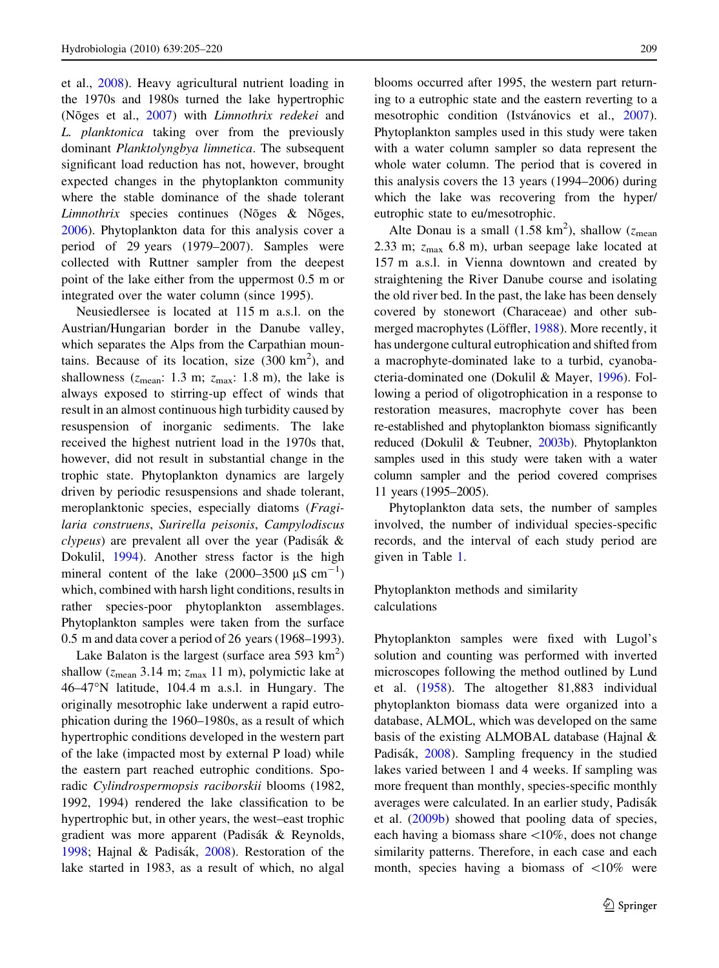et al., [2008\)](#page-14-0). Heavy agricultural nutrient loading in the 1970s and 1980s turned the lake hypertrophic (Nõges et al., [2007](#page-14-0)) with *Limnothrix redekei* and L. planktonica taking over from the previously dominant Planktolyngbya limnetica. The subsequent significant load reduction has not, however, brought expected changes in the phytoplankton community where the stable dominance of the shade tolerant Limnothrix species continues (Nõges & Nõges, [2006\)](#page-14-0). Phytoplankton data for this analysis cover a period of 29 years (1979–2007). Samples were collected with Ruttner sampler from the deepest point of the lake either from the uppermost 0.5 m or integrated over the water column (since 1995).

Neusiedlersee is located at 115 m a.s.l. on the Austrian/Hungarian border in the Danube valley, which separates the Alps from the Carpathian mountains. Because of its location, size  $(300 \text{ km}^2)$ , and shallowness ( $z_{\text{mean}}$ : 1.3 m;  $z_{\text{max}}$ : 1.8 m), the lake is always exposed to stirring-up effect of winds that result in an almost continuous high turbidity caused by resuspension of inorganic sediments. The lake received the highest nutrient load in the 1970s that, however, did not result in substantial change in the trophic state. Phytoplankton dynamics are largely driven by periodic resuspensions and shade tolerant, meroplanktonic species, especially diatoms (Fragilaria construens, Surirella peisonis, Campylodiscus  $clypesus$ ) are prevalent all over the year (Padisák & Dokulil, [1994\)](#page-14-0). Another stress factor is the high mineral content of the lake  $(2000-3500 \mu S \text{ cm}^{-1})$ which, combined with harsh light conditions, results in rather species-poor phytoplankton assemblages. Phytoplankton samples were taken from the surface 0.5 m and data cover a period of 26 years (1968–1993).

Lake Balaton is the largest (surface area 593  $\text{km}^2$ ) shallow ( $z_{\text{mean}}$  3.14 m;  $z_{\text{max}}$  11 m), polymictic lake at 46–47-N latitude, 104.4 m a.s.l. in Hungary. The originally mesotrophic lake underwent a rapid eutrophication during the 1960–1980s, as a result of which hypertrophic conditions developed in the western part of the lake (impacted most by external P load) while the eastern part reached eutrophic conditions. Sporadic Cylindrospermopsis raciborskii blooms (1982, 1992, 1994) rendered the lake classification to be hypertrophic but, in other years, the west–east trophic gradient was more apparent (Padisák & Reynolds, [1998;](#page-14-0) Hajnal & Padisák, [2008\)](#page-13-0). Restoration of the lake started in 1983, as a result of which, no algal blooms occurred after 1995, the western part returning to a eutrophic state and the eastern reverting to a mesotrophic condition (Istvánovics et al., [2007](#page-14-0)). Phytoplankton samples used in this study were taken with a water column sampler so data represent the whole water column. The period that is covered in this analysis covers the 13 years (1994–2006) during which the lake was recovering from the hyper/ eutrophic state to eu/mesotrophic.

Alte Donau is a small  $(1.58 \text{ km}^2)$ , shallow  $(z_{\text{mean}})$ 2.33 m;  $z_{\text{max}}$  6.8 m), urban seepage lake located at 157 m a.s.l. in Vienna downtown and created by straightening the River Danube course and isolating the old river bed. In the past, the lake has been densely covered by stonewort (Characeae) and other sub-merged macrophytes (Löffler, [1988](#page-14-0)). More recently, it has undergone cultural eutrophication and shifted from a macrophyte-dominated lake to a turbid, cyanobacteria-dominated one (Dokulil & Mayer, [1996](#page-13-0)). Following a period of oligotrophication in a response to restoration measures, macrophyte cover has been re-established and phytoplankton biomass significantly reduced (Dokulil & Teubner, [2003b\)](#page-13-0). Phytoplankton samples used in this study were taken with a water column sampler and the period covered comprises 11 years (1995–2005).

Phytoplankton data sets, the number of samples involved, the number of individual species-specific records, and the interval of each study period are given in Table [1.](#page-5-0)

# Phytoplankton methods and similarity calculations

Phytoplankton samples were fixed with Lugol's solution and counting was performed with inverted microscopes following the method outlined by Lund et al. [\(1958](#page-14-0)). The altogether 81,883 individual phytoplankton biomass data were organized into a database, ALMOL, which was developed on the same basis of the existing ALMOBAL database (Hajnal & Padisák, [2008](#page-13-0)). Sampling frequency in the studied lakes varied between 1 and 4 weeks. If sampling was more frequent than monthly, species-specific monthly averages were calculated. In an earlier study, Padisa´k et al. ([2009b\)](#page-14-0) showed that pooling data of species, each having a biomass share  $\langle 10\%$ , does not change similarity patterns. Therefore, in each case and each month, species having a biomass of  $\langle 10\%$  were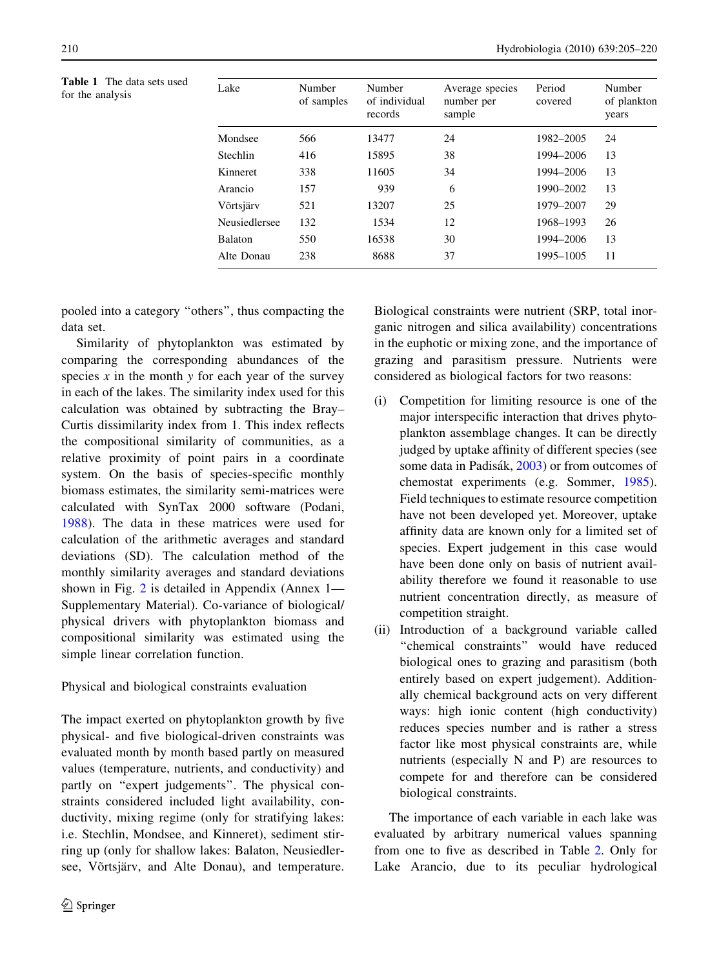<span id="page-5-0"></span>Table 1 The data sets used for the analysis

| Lake           | Number<br>of samples | Number<br>of individual<br>records | Average species<br>number per<br>sample | Period<br>covered | Number<br>of plankton<br>years |  |
|----------------|----------------------|------------------------------------|-----------------------------------------|-------------------|--------------------------------|--|
| Mondsee        | 566                  | 13477                              | 24                                      | 1982-2005         | 24                             |  |
| Stechlin       | 416                  | 15895                              | 38                                      | 1994-2006         | 13                             |  |
| Kinneret       | 338                  | 11605                              | 34                                      | 1994-2006         | 13                             |  |
| Arancio        | 157                  | 939                                | 6                                       | 1990-2002         | 13                             |  |
| Võrtsjärv      | 521                  | 13207                              | 25                                      | 1979-2007         | 29                             |  |
| Neusiedlersee  | 132                  | 1534                               | 12                                      | 1968-1993         | 26                             |  |
| <b>Balaton</b> | 550                  | 16538                              | 30                                      | 1994-2006         | 13                             |  |
| Alte Donau     | 238                  | 8688                               | 37                                      | 1995-1005         | 11                             |  |
|                |                      |                                    |                                         |                   |                                |  |

pooled into a category ''others'', thus compacting the data set.

Similarity of phytoplankton was estimated by comparing the corresponding abundances of the species  $x$  in the month  $y$  for each year of the survey in each of the lakes. The similarity index used for this calculation was obtained by subtracting the Bray– Curtis dissimilarity index from 1. This index reflects the compositional similarity of communities, as a relative proximity of point pairs in a coordinate system. On the basis of species-specific monthly biomass estimates, the similarity semi-matrices were calculated with SynTax 2000 software (Podani, [1988\)](#page-14-0). The data in these matrices were used for calculation of the arithmetic averages and standard deviations (SD). The calculation method of the monthly similarity averages and standard deviations shown in Fig. [2](#page-9-0) is detailed in Appendix (Annex 1— Supplementary Material). Co-variance of biological/ physical drivers with phytoplankton biomass and compositional similarity was estimated using the simple linear correlation function.

Physical and biological constraints evaluation

The impact exerted on phytoplankton growth by five physical- and five biological-driven constraints was evaluated month by month based partly on measured values (temperature, nutrients, and conductivity) and partly on ''expert judgements''. The physical constraints considered included light availability, conductivity, mixing regime (only for stratifying lakes: i.e. Stechlin, Mondsee, and Kinneret), sediment stirring up (only for shallow lakes: Balaton, Neusiedlersee, Võrtsjärv, and Alte Donau), and temperature. Biological constraints were nutrient (SRP, total inorganic nitrogen and silica availability) concentrations in the euphotic or mixing zone, and the importance of grazing and parasitism pressure. Nutrients were considered as biological factors for two reasons:

- (i) Competition for limiting resource is one of the major interspecific interaction that drives phytoplankton assemblage changes. It can be directly judged by uptake affinity of different species (see some data in Padisák, [2003](#page-14-0)) or from outcomes of chemostat experiments (e.g. Sommer, [1985](#page-15-0)). Field techniques to estimate resource competition have not been developed yet. Moreover, uptake affinity data are known only for a limited set of species. Expert judgement in this case would have been done only on basis of nutrient availability therefore we found it reasonable to use nutrient concentration directly, as measure of competition straight.
- (ii) Introduction of a background variable called "chemical constraints" would have reduced biological ones to grazing and parasitism (both entirely based on expert judgement). Additionally chemical background acts on very different ways: high ionic content (high conductivity) reduces species number and is rather a stress factor like most physical constraints are, while nutrients (especially N and P) are resources to compete for and therefore can be considered biological constraints.

The importance of each variable in each lake was evaluated by arbitrary numerical values spanning from one to five as described in Table [2.](#page-6-0) Only for Lake Arancio, due to its peculiar hydrological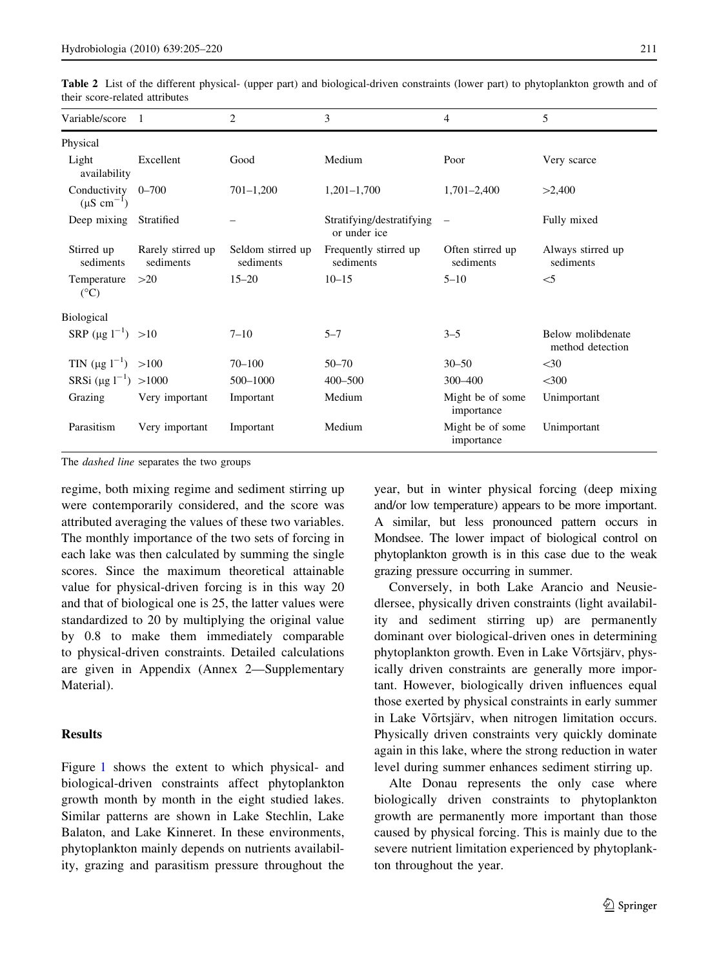| Variable/score 1                                  |                                | $\overline{2}$                 | 3                                         | 4                              | 5                                     |  |
|---------------------------------------------------|--------------------------------|--------------------------------|-------------------------------------------|--------------------------------|---------------------------------------|--|
| Physical                                          |                                |                                |                                           |                                |                                       |  |
| Light<br>availability                             | Excellent                      | Good                           | Medium                                    | Poor                           | Very scarce                           |  |
| Conductivity $0-700$<br>$(\mu S \text{ cm}^{-1})$ |                                | $701 - 1,200$                  | $1,201-1,700$                             | $1,701 - 2,400$                | >2,400                                |  |
| Deep mixing                                       | Stratified                     |                                | Stratifying/destratifying<br>or under ice | $\overline{\phantom{0}}$       | Fully mixed                           |  |
| Stirred up<br>sediments                           | Rarely stirred up<br>sediments | Seldom stirred up<br>sediments | Frequently stirred up<br>sediments        | Often stirred up<br>sediments  | Always stirred up<br>sediments        |  |
| Temperature $>20$<br>$(^{\circ}C)$                |                                | $15 - 20$                      | $10 - 15$                                 | $5 - 10$                       | $<$ 5                                 |  |
| <b>Biological</b>                                 |                                |                                |                                           |                                |                                       |  |
| SRP $(\mu g 1^{-1})$ >10                          |                                | $7 - 10$                       | $5 - 7$                                   | $3 - 5$                        | Below molibdenate<br>method detection |  |
| TIN $(\mu g l^{-1})$ >100                         |                                | $70 - 100$                     | $50 - 70$                                 | $30 - 50$                      | $30$                                  |  |
| SRSi $(\mu g l^{-1})$ >1000                       |                                | 500-1000                       | $400 - 500$                               | 300-400                        | $<$ 300                               |  |
| Grazing                                           | Very important                 | Important                      | Medium                                    | Might be of some<br>importance | Unimportant                           |  |
| Parasitism                                        | Very important                 | Important                      | Medium                                    | Might be of some<br>importance | Unimportant                           |  |

<span id="page-6-0"></span>Table 2 List of the different physical- (upper part) and biological-driven constraints (lower part) to phytoplankton growth and of their score-related attributes

The dashed line separates the two groups

regime, both mixing regime and sediment stirring up were contemporarily considered, and the score was attributed averaging the values of these two variables. The monthly importance of the two sets of forcing in each lake was then calculated by summing the single scores. Since the maximum theoretical attainable value for physical-driven forcing is in this way 20 and that of biological one is 25, the latter values were standardized to 20 by multiplying the original value by 0.8 to make them immediately comparable to physical-driven constraints. Detailed calculations are given in Appendix (Annex 2—Supplementary Material).

# Results

Figure [1](#page-7-0) shows the extent to which physical- and biological-driven constraints affect phytoplankton growth month by month in the eight studied lakes. Similar patterns are shown in Lake Stechlin, Lake Balaton, and Lake Kinneret. In these environments, phytoplankton mainly depends on nutrients availability, grazing and parasitism pressure throughout the year, but in winter physical forcing (deep mixing and/or low temperature) appears to be more important. A similar, but less pronounced pattern occurs in Mondsee. The lower impact of biological control on phytoplankton growth is in this case due to the weak grazing pressure occurring in summer.

Conversely, in both Lake Arancio and Neusiedlersee, physically driven constraints (light availability and sediment stirring up) are permanently dominant over biological-driven ones in determining phytoplankton growth. Even in Lake Võrtsjärv, physically driven constraints are generally more important. However, biologically driven influences equal those exerted by physical constraints in early summer in Lake Võrtsjärv, when nitrogen limitation occurs. Physically driven constraints very quickly dominate again in this lake, where the strong reduction in water level during summer enhances sediment stirring up.

Alte Donau represents the only case where biologically driven constraints to phytoplankton growth are permanently more important than those caused by physical forcing. This is mainly due to the severe nutrient limitation experienced by phytoplankton throughout the year.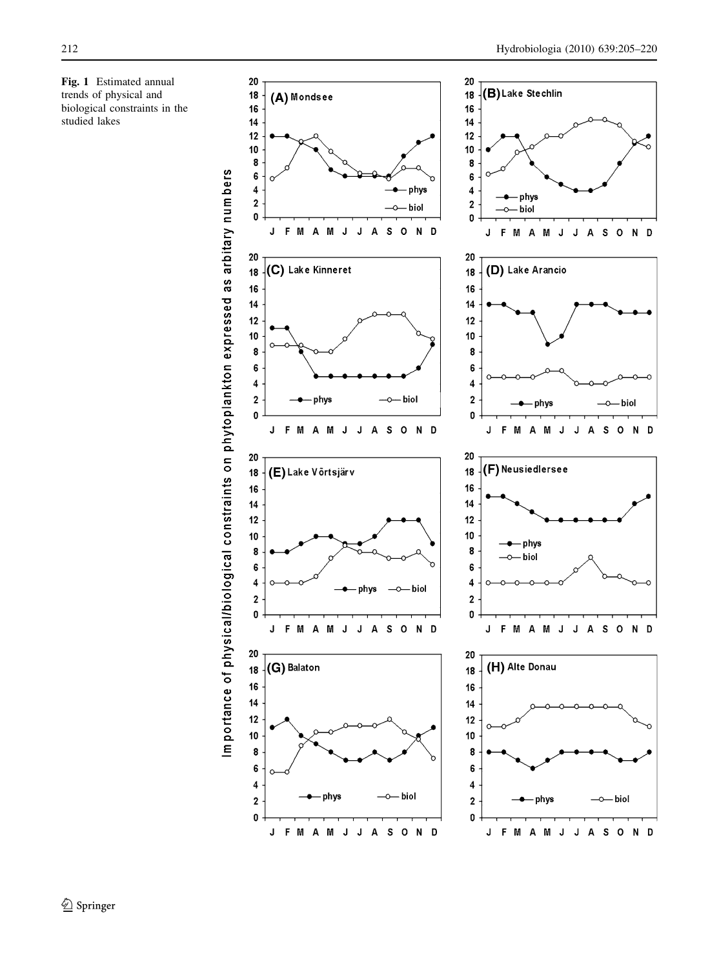<span id="page-7-0"></span>Fig. 1 Estimated annual trends of physical and biological constraints in the studied lakes

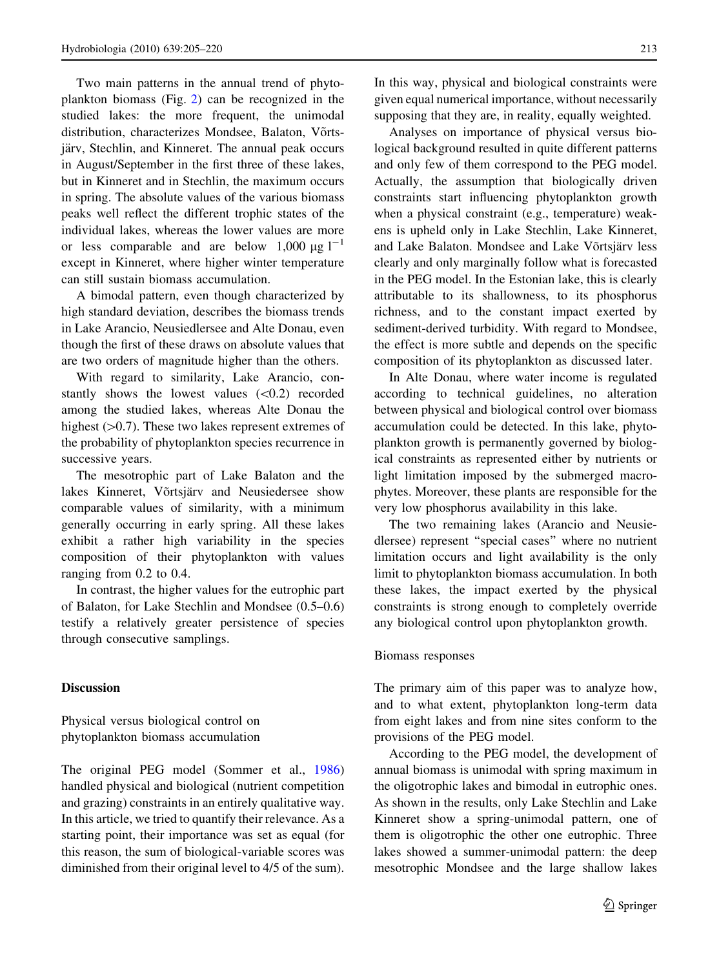Two main patterns in the annual trend of phytoplankton biomass (Fig. [2](#page-9-0)) can be recognized in the studied lakes: the more frequent, the unimodal distribution, characterizes Mondsee, Balaton, Võrtsjärv, Stechlin, and Kinneret. The annual peak occurs in August/September in the first three of these lakes, but in Kinneret and in Stechlin, the maximum occurs in spring. The absolute values of the various biomass peaks well reflect the different trophic states of the individual lakes, whereas the lower values are more or less comparable and are below 1,000  $\mu$ g l<sup>-1</sup> except in Kinneret, where higher winter temperature can still sustain biomass accumulation.

A bimodal pattern, even though characterized by high standard deviation, describes the biomass trends in Lake Arancio, Neusiedlersee and Alte Donau, even though the first of these draws on absolute values that are two orders of magnitude higher than the others.

With regard to similarity, Lake Arancio, constantly shows the lowest values  $(<0.2)$  recorded among the studied lakes, whereas Alte Donau the highest  $(>0.7)$ . These two lakes represent extremes of the probability of phytoplankton species recurrence in successive years.

The mesotrophic part of Lake Balaton and the lakes Kinneret, Võrtsjärv and Neusiedersee show comparable values of similarity, with a minimum generally occurring in early spring. All these lakes exhibit a rather high variability in the species composition of their phytoplankton with values ranging from 0.2 to 0.4.

In contrast, the higher values for the eutrophic part of Balaton, for Lake Stechlin and Mondsee (0.5–0.6) testify a relatively greater persistence of species through consecutive samplings.

# **Discussion**

Physical versus biological control on phytoplankton biomass accumulation

The original PEG model (Sommer et al., [1986\)](#page-15-0) handled physical and biological (nutrient competition and grazing) constraints in an entirely qualitative way. In this article, we tried to quantify their relevance. As a starting point, their importance was set as equal (for this reason, the sum of biological-variable scores was diminished from their original level to 4/5 of the sum). In this way, physical and biological constraints were given equal numerical importance, without necessarily supposing that they are, in reality, equally weighted.

Analyses on importance of physical versus biological background resulted in quite different patterns and only few of them correspond to the PEG model. Actually, the assumption that biologically driven constraints start influencing phytoplankton growth when a physical constraint (e.g., temperature) weakens is upheld only in Lake Stechlin, Lake Kinneret, and Lake Balaton. Mondsee and Lake Võrtsjärv less clearly and only marginally follow what is forecasted in the PEG model. In the Estonian lake, this is clearly attributable to its shallowness, to its phosphorus richness, and to the constant impact exerted by sediment-derived turbidity. With regard to Mondsee, the effect is more subtle and depends on the specific composition of its phytoplankton as discussed later.

In Alte Donau, where water income is regulated according to technical guidelines, no alteration between physical and biological control over biomass accumulation could be detected. In this lake, phytoplankton growth is permanently governed by biological constraints as represented either by nutrients or light limitation imposed by the submerged macrophytes. Moreover, these plants are responsible for the very low phosphorus availability in this lake.

The two remaining lakes (Arancio and Neusiedlersee) represent ''special cases'' where no nutrient limitation occurs and light availability is the only limit to phytoplankton biomass accumulation. In both these lakes, the impact exerted by the physical constraints is strong enough to completely override any biological control upon phytoplankton growth.

## Biomass responses

The primary aim of this paper was to analyze how, and to what extent, phytoplankton long-term data from eight lakes and from nine sites conform to the provisions of the PEG model.

According to the PEG model, the development of annual biomass is unimodal with spring maximum in the oligotrophic lakes and bimodal in eutrophic ones. As shown in the results, only Lake Stechlin and Lake Kinneret show a spring-unimodal pattern, one of them is oligotrophic the other one eutrophic. Three lakes showed a summer-unimodal pattern: the deep mesotrophic Mondsee and the large shallow lakes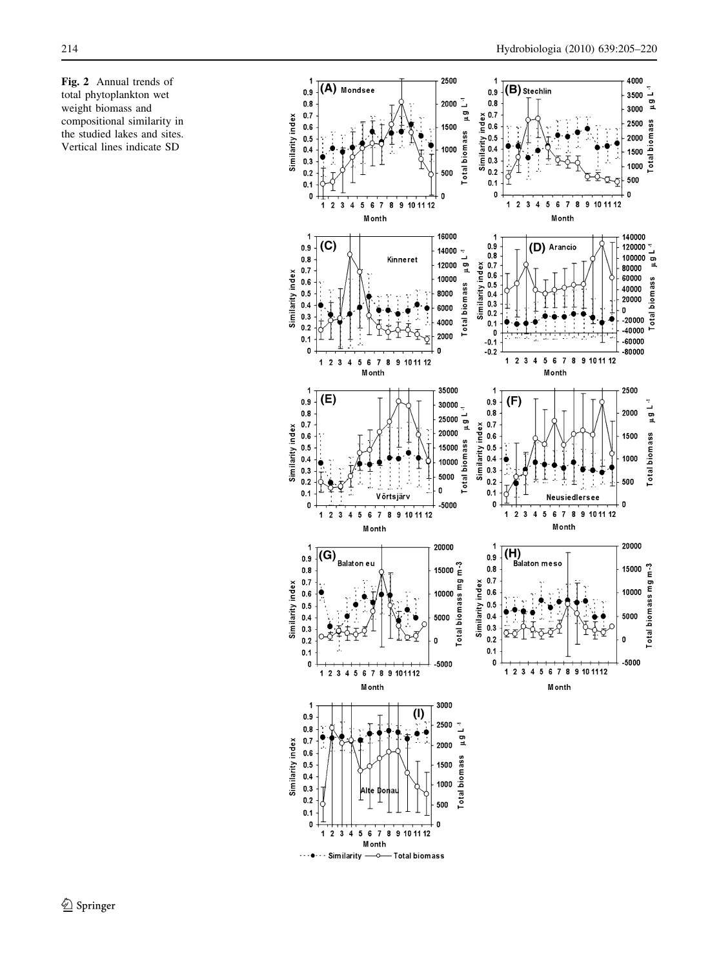<span id="page-9-0"></span>Fig. 2 Annual trends of total phytoplankton wet weight biomass and compositional similarity in the studied lakes and sites. Vertical lines indicate SD

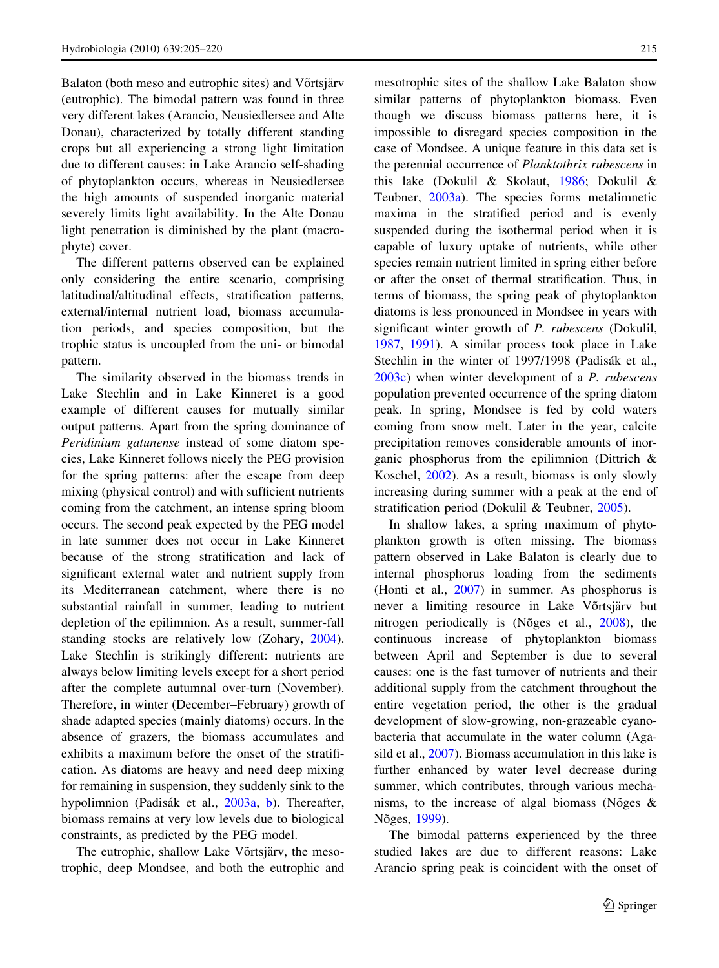Balaton (both meso and eutrophic sites) and Võrtsjärv (eutrophic). The bimodal pattern was found in three very different lakes (Arancio, Neusiedlersee and Alte Donau), characterized by totally different standing crops but all experiencing a strong light limitation due to different causes: in Lake Arancio self-shading of phytoplankton occurs, whereas in Neusiedlersee the high amounts of suspended inorganic material severely limits light availability. In the Alte Donau light penetration is diminished by the plant (macrophyte) cover.

The different patterns observed can be explained only considering the entire scenario, comprising latitudinal/altitudinal effects, stratification patterns, external/internal nutrient load, biomass accumulation periods, and species composition, but the trophic status is uncoupled from the uni- or bimodal pattern.

The similarity observed in the biomass trends in Lake Stechlin and in Lake Kinneret is a good example of different causes for mutually similar output patterns. Apart from the spring dominance of Peridinium gatunense instead of some diatom species, Lake Kinneret follows nicely the PEG provision for the spring patterns: after the escape from deep mixing (physical control) and with sufficient nutrients coming from the catchment, an intense spring bloom occurs. The second peak expected by the PEG model in late summer does not occur in Lake Kinneret because of the strong stratification and lack of significant external water and nutrient supply from its Mediterranean catchment, where there is no substantial rainfall in summer, leading to nutrient depletion of the epilimnion. As a result, summer-fall standing stocks are relatively low (Zohary, [2004](#page-15-0)). Lake Stechlin is strikingly different: nutrients are always below limiting levels except for a short period after the complete autumnal over-turn (November). Therefore, in winter (December–February) growth of shade adapted species (mainly diatoms) occurs. In the absence of grazers, the biomass accumulates and exhibits a maximum before the onset of the stratification. As diatoms are heavy and need deep mixing for remaining in suspension, they suddenly sink to the hypolimnion (Padisák et al., [2003a](#page-14-0), [b](#page-14-0)). Thereafter, biomass remains at very low levels due to biological constraints, as predicted by the PEG model.

The eutrophic, shallow Lake Võrtsjärv, the mesotrophic, deep Mondsee, and both the eutrophic and mesotrophic sites of the shallow Lake Balaton show similar patterns of phytoplankton biomass. Even though we discuss biomass patterns here, it is impossible to disregard species composition in the case of Mondsee. A unique feature in this data set is the perennial occurrence of Planktothrix rubescens in this lake (Dokulil & Skolaut, [1986](#page-13-0); Dokulil & Teubner, [2003a\)](#page-13-0). The species forms metalimnetic maxima in the stratified period and is evenly suspended during the isothermal period when it is capable of luxury uptake of nutrients, while other species remain nutrient limited in spring either before or after the onset of thermal stratification. Thus, in terms of biomass, the spring peak of phytoplankton diatoms is less pronounced in Mondsee in years with significant winter growth of *P. rubescens* (Dokulil, [1987,](#page-13-0) [1991\)](#page-13-0). A similar process took place in Lake Stechlin in the winter of 1997/1998 (Padisák et al., [2003c](#page-14-0)) when winter development of a P. rubescens population prevented occurrence of the spring diatom peak. In spring, Mondsee is fed by cold waters coming from snow melt. Later in the year, calcite precipitation removes considerable amounts of inorganic phosphorus from the epilimnion (Dittrich & Koschel, [2002\)](#page-13-0). As a result, biomass is only slowly increasing during summer with a peak at the end of stratification period (Dokulil & Teubner, [2005\)](#page-13-0).

In shallow lakes, a spring maximum of phytoplankton growth is often missing. The biomass pattern observed in Lake Balaton is clearly due to internal phosphorus loading from the sediments (Honti et al., [2007\)](#page-13-0) in summer. As phosphorus is never a limiting resource in Lake Võrtsjärv but nitrogen periodically is (Nõges et al., [2008](#page-14-0)), the continuous increase of phytoplankton biomass between April and September is due to several causes: one is the fast turnover of nutrients and their additional supply from the catchment throughout the entire vegetation period, the other is the gradual development of slow-growing, non-grazeable cyanobacteria that accumulate in the water column (Agasild et al., [2007\)](#page-13-0). Biomass accumulation in this lake is further enhanced by water level decrease during summer, which contributes, through various mechanisms, to the increase of algal biomass (No  $g \&$ Nõges, [1999](#page-14-0)).

The bimodal patterns experienced by the three studied lakes are due to different reasons: Lake Arancio spring peak is coincident with the onset of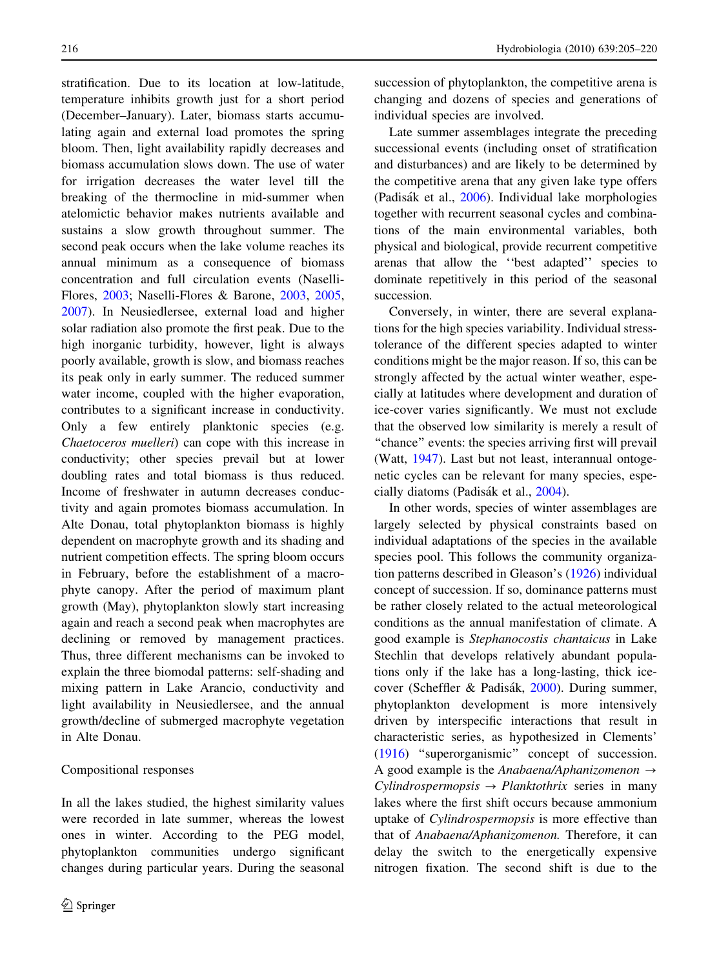stratification. Due to its location at low-latitude, temperature inhibits growth just for a short period (December–January). Later, biomass starts accumulating again and external load promotes the spring bloom. Then, light availability rapidly decreases and biomass accumulation slows down. The use of water for irrigation decreases the water level till the breaking of the thermocline in mid-summer when atelomictic behavior makes nutrients available and sustains a slow growth throughout summer. The second peak occurs when the lake volume reaches its annual minimum as a consequence of biomass concentration and full circulation events (Naselli-Flores, [2003](#page-14-0); Naselli-Flores & Barone, [2003](#page-14-0), [2005,](#page-14-0) [2007\)](#page-14-0). In Neusiedlersee, external load and higher solar radiation also promote the first peak. Due to the high inorganic turbidity, however, light is always poorly available, growth is slow, and biomass reaches its peak only in early summer. The reduced summer water income, coupled with the higher evaporation, contributes to a significant increase in conductivity. Only a few entirely planktonic species (e.g. Chaetoceros muelleri) can cope with this increase in conductivity; other species prevail but at lower doubling rates and total biomass is thus reduced. Income of freshwater in autumn decreases conductivity and again promotes biomass accumulation. In Alte Donau, total phytoplankton biomass is highly dependent on macrophyte growth and its shading and nutrient competition effects. The spring bloom occurs in February, before the establishment of a macrophyte canopy. After the period of maximum plant growth (May), phytoplankton slowly start increasing again and reach a second peak when macrophytes are declining or removed by management practices. Thus, three different mechanisms can be invoked to explain the three biomodal patterns: self-shading and mixing pattern in Lake Arancio, conductivity and light availability in Neusiedlersee, and the annual growth/decline of submerged macrophyte vegetation in Alte Donau.

## Compositional responses

In all the lakes studied, the highest similarity values were recorded in late summer, whereas the lowest ones in winter. According to the PEG model, phytoplankton communities undergo significant changes during particular years. During the seasonal

succession of phytoplankton, the competitive arena is changing and dozens of species and generations of individual species are involved.

Late summer assemblages integrate the preceding successional events (including onset of stratification and disturbances) and are likely to be determined by the competitive arena that any given lake type offers (Padisa´k et al., [2006](#page-14-0)). Individual lake morphologies together with recurrent seasonal cycles and combinations of the main environmental variables, both physical and biological, provide recurrent competitive arenas that allow the ''best adapted'' species to dominate repetitively in this period of the seasonal succession.

Conversely, in winter, there are several explanations for the high species variability. Individual stresstolerance of the different species adapted to winter conditions might be the major reason. If so, this can be strongly affected by the actual winter weather, especially at latitudes where development and duration of ice-cover varies significantly. We must not exclude that the observed low similarity is merely a result of "chance" events: the species arriving first will prevail (Watt, [1947\)](#page-15-0). Last but not least, interannual ontogenetic cycles can be relevant for many species, espe-cially diatoms (Padisák et al., [2004\)](#page-14-0).

In other words, species of winter assemblages are largely selected by physical constraints based on individual adaptations of the species in the available species pool. This follows the community organization patterns described in Gleason's ([1926\)](#page-13-0) individual concept of succession. If so, dominance patterns must be rather closely related to the actual meteorological conditions as the annual manifestation of climate. A good example is Stephanocostis chantaicus in Lake Stechlin that develops relatively abundant populations only if the lake has a long-lasting, thick ice-cover (Scheffler & Padisák, [2000\)](#page-15-0). During summer, phytoplankton development is more intensively driven by interspecific interactions that result in characteristic series, as hypothesized in Clements' [\(1916](#page-13-0)) ''superorganismic'' concept of succession. A good example is the Anabaena/Aphanizomenon  $\rightarrow$ Cylindrospermopsis  $\rightarrow$  Planktothrix series in many lakes where the first shift occurs because ammonium uptake of Cylindrospermopsis is more effective than that of Anabaena/Aphanizomenon. Therefore, it can delay the switch to the energetically expensive nitrogen fixation. The second shift is due to the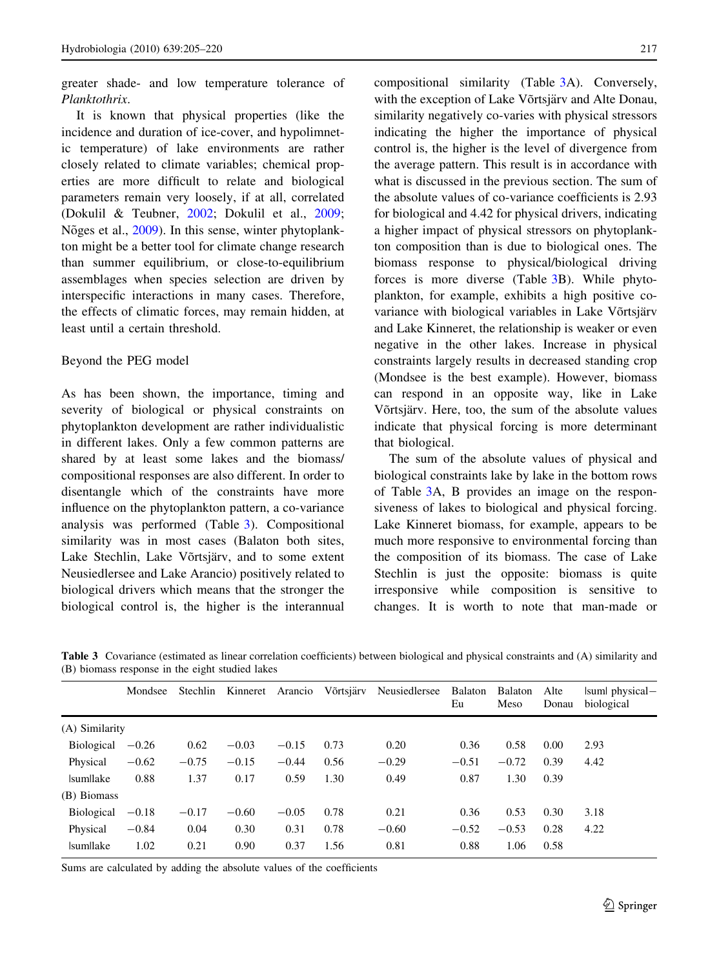greater shade- and low temperature tolerance of Planktothrix.

It is known that physical properties (like the incidence and duration of ice-cover, and hypolimnetic temperature) of lake environments are rather closely related to climate variables; chemical properties are more difficult to relate and biological parameters remain very loosely, if at all, correlated (Dokulil & Teubner, [2002](#page-13-0); Dokulil et al., [2009](#page-13-0); Nõges et al., [2009\)](#page-14-0). In this sense, winter phytoplankton might be a better tool for climate change research than summer equilibrium, or close-to-equilibrium assemblages when species selection are driven by interspecific interactions in many cases. Therefore, the effects of climatic forces, may remain hidden, at least until a certain threshold.

## Beyond the PEG model

As has been shown, the importance, timing and severity of biological or physical constraints on phytoplankton development are rather individualistic in different lakes. Only a few common patterns are shared by at least some lakes and the biomass/ compositional responses are also different. In order to disentangle which of the constraints have more influence on the phytoplankton pattern, a co-variance analysis was performed (Table 3). Compositional similarity was in most cases (Balaton both sites, Lake Stechlin, Lake Võrtsjärv, and to some extent Neusiedlersee and Lake Arancio) positively related to biological drivers which means that the stronger the biological control is, the higher is the interannual

compositional similarity (Table 3A). Conversely, with the exception of Lake Võrtsjärv and Alte Donau, similarity negatively co-varies with physical stressors indicating the higher the importance of physical control is, the higher is the level of divergence from the average pattern. This result is in accordance with what is discussed in the previous section. The sum of the absolute values of co-variance coefficients is 2.93 for biological and 4.42 for physical drivers, indicating a higher impact of physical stressors on phytoplankton composition than is due to biological ones. The biomass response to physical/biological driving forces is more diverse (Table 3B). While phytoplankton, for example, exhibits a high positive covariance with biological variables in Lake Võrtsjärv and Lake Kinneret, the relationship is weaker or even negative in the other lakes. Increase in physical constraints largely results in decreased standing crop (Mondsee is the best example). However, biomass can respond in an opposite way, like in Lake Võrtsjärv. Here, too, the sum of the absolute values indicate that physical forcing is more determinant that biological.

The sum of the absolute values of physical and biological constraints lake by lake in the bottom rows of Table 3A, B provides an image on the responsiveness of lakes to biological and physical forcing. Lake Kinneret biomass, for example, appears to be much more responsive to environmental forcing than the composition of its biomass. The case of Lake Stechlin is just the opposite: biomass is quite irresponsive while composition is sensitive to changes. It is worth to note that man-made or

Table 3 Covariance (estimated as linear correlation coefficients) between biological and physical constraints and (A) similarity and (B) biomass response in the eight studied lakes

|                   | Mondsee | Stechlin | Kinneret Arancio |         | Võrtsjärv | Neusiedlersee | Balaton<br>Eu | Balaton<br>Meso | Alte<br>Donau | sum physical-<br>biological |
|-------------------|---------|----------|------------------|---------|-----------|---------------|---------------|-----------------|---------------|-----------------------------|
| (A) Similarity    |         |          |                  |         |           |               |               |                 |               |                             |
| <b>Biological</b> | $-0.26$ | 0.62     | $-0.03$          | $-0.15$ | 0.73      | 0.20          | 0.36          | 0.58            | 0.00          | 2.93                        |
| Physical          | $-0.62$ | $-0.75$  | $-0.15$          | $-0.44$ | 0.56      | $-0.29$       | $-0.51$       | $-0.72$         | 0.39          | 4.42                        |
| <b>sumllake</b>   | 0.88    | 1.37     | 0.17             | 0.59    | 1.30      | 0.49          | 0.87          | 1.30            | 0.39          |                             |
| (B) Biomass       |         |          |                  |         |           |               |               |                 |               |                             |
| Biological        | $-0.18$ | $-0.17$  | $-0.60$          | $-0.05$ | 0.78      | 0.21          | 0.36          | 0.53            | 0.30          | 3.18                        |
| Physical          | $-0.84$ | 0.04     | 0.30             | 0.31    | 0.78      | $-0.60$       | $-0.52$       | $-0.53$         | 0.28          | 4.22                        |
| <b>sumllake</b>   | 1.02    | 0.21     | 0.90             | 0.37    | 1.56      | 0.81          | 0.88          | 1.06            | 0.58          |                             |

Sums are calculated by adding the absolute values of the coefficients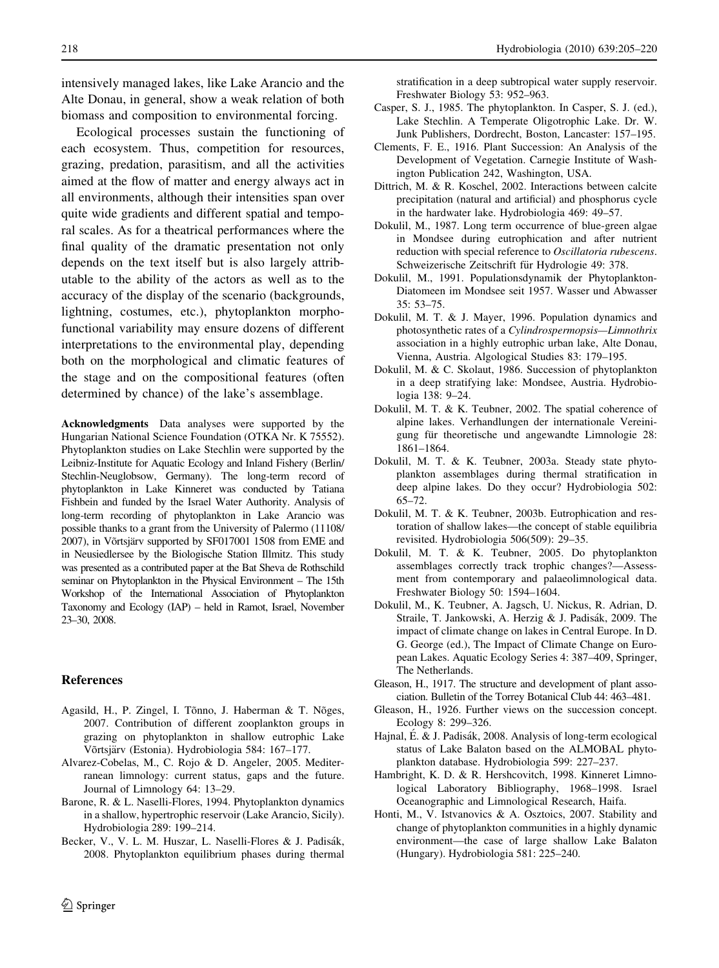<span id="page-13-0"></span>intensively managed lakes, like Lake Arancio and the Alte Donau, in general, show a weak relation of both biomass and composition to environmental forcing.

Ecological processes sustain the functioning of each ecosystem. Thus, competition for resources, grazing, predation, parasitism, and all the activities aimed at the flow of matter and energy always act in all environments, although their intensities span over quite wide gradients and different spatial and temporal scales. As for a theatrical performances where the final quality of the dramatic presentation not only depends on the text itself but is also largely attributable to the ability of the actors as well as to the accuracy of the display of the scenario (backgrounds, lightning, costumes, etc.), phytoplankton morphofunctional variability may ensure dozens of different interpretations to the environmental play, depending both on the morphological and climatic features of the stage and on the compositional features (often determined by chance) of the lake's assemblage.

Acknowledgments Data analyses were supported by the Hungarian National Science Foundation (OTKA Nr. K 75552). Phytoplankton studies on Lake Stechlin were supported by the Leibniz-Institute for Aquatic Ecology and Inland Fishery (Berlin/ Stechlin-Neuglobsow, Germany). The long-term record of phytoplankton in Lake Kinneret was conducted by Tatiana Fishbein and funded by the Israel Water Authority. Analysis of long-term recording of phytoplankton in Lake Arancio was possible thanks to a grant from the University of Palermo (11108/ 2007), in Võrtsjärv supported by SF017001 1508 from EME and in Neusiedlersee by the Biologische Station Illmitz. This study was presented as a contributed paper at the Bat Sheva de Rothschild seminar on Phytoplankton in the Physical Environment – The 15th Workshop of the International Association of Phytoplankton Taxonomy and Ecology (IAP) – held in Ramot, Israel, November 23–30, 2008.

## References

- Agasild, H., P. Zingel, I. Tõnno, J. Haberman & T. Nõges, 2007. Contribution of different zooplankton groups in grazing on phytoplankton in shallow eutrophic Lake Võrtsjärv (Estonia). Hydrobiologia 584: 167-177.
- Alvarez-Cobelas, M., C. Rojo & D. Angeler, 2005. Mediterranean limnology: current status, gaps and the future. Journal of Limnology 64: 13–29.
- Barone, R. & L. Naselli-Flores, 1994. Phytoplankton dynamics in a shallow, hypertrophic reservoir (Lake Arancio, Sicily). Hydrobiologia 289: 199–214.
- Becker, V., V. L. M. Huszar, L. Naselli-Flores & J. Padisák, 2008. Phytoplankton equilibrium phases during thermal

stratification in a deep subtropical water supply reservoir. Freshwater Biology 53: 952–963.

- Casper, S. J., 1985. The phytoplankton. In Casper, S. J. (ed.), Lake Stechlin. A Temperate Oligotrophic Lake. Dr. W. Junk Publishers, Dordrecht, Boston, Lancaster: 157–195.
- Clements, F. E., 1916. Plant Succession: An Analysis of the Development of Vegetation. Carnegie Institute of Washington Publication 242, Washington, USA.
- Dittrich, M. & R. Koschel, 2002. Interactions between calcite precipitation (natural and artificial) and phosphorus cycle in the hardwater lake. Hydrobiologia 469: 49–57.
- Dokulil, M., 1987. Long term occurrence of blue-green algae in Mondsee during eutrophication and after nutrient reduction with special reference to *Oscillatoria rubescens*. Schweizerische Zeitschrift für Hydrologie 49: 378.
- Dokulil, M., 1991. Populationsdynamik der Phytoplankton-Diatomeen im Mondsee seit 1957. Wasser und Abwasser 35: 53–75.
- Dokulil, M. T. & J. Mayer, 1996. Population dynamics and photosynthetic rates of a Cylindrospermopsis—Limnothrix association in a highly eutrophic urban lake, Alte Donau, Vienna, Austria. Algological Studies 83: 179–195.
- Dokulil, M. & C. Skolaut, 1986. Succession of phytoplankton in a deep stratifying lake: Mondsee, Austria. Hydrobiologia 138: 9–24.
- Dokulil, M. T. & K. Teubner, 2002. The spatial coherence of alpine lakes. Verhandlungen der internationale Vereinigung für theoretische und angewandte Limnologie 28: 1861–1864.
- Dokulil, M. T. & K. Teubner, 2003a. Steady state phytoplankton assemblages during thermal stratification in deep alpine lakes. Do they occur? Hydrobiologia 502: 65–72.
- Dokulil, M. T. & K. Teubner, 2003b. Eutrophication and restoration of shallow lakes—the concept of stable equilibria revisited. Hydrobiologia 506(509): 29–35.
- Dokulil, M. T. & K. Teubner, 2005. Do phytoplankton assemblages correctly track trophic changes?—Assessment from contemporary and palaeolimnological data. Freshwater Biology 50: 1594–1604.
- Dokulil, M., K. Teubner, A. Jagsch, U. Nickus, R. Adrian, D. Straile, T. Jankowski, A. Herzig & J. Padisák, 2009. The impact of climate change on lakes in Central Europe. In D. G. George (ed.), The Impact of Climate Change on European Lakes. Aquatic Ecology Series 4: 387–409, Springer, The Netherlands.
- Gleason, H., 1917. The structure and development of plant association. Bulletin of the Torrey Botanical Club 44: 463–481.
- Gleason, H., 1926. Further views on the succession concept. Ecology 8: 299–326.
- Hajnal, É. & J. Padisák, 2008. Analysis of long-term ecological status of Lake Balaton based on the ALMOBAL phytoplankton database. Hydrobiologia 599: 227–237.
- Hambright, K. D. & R. Hershcovitch, 1998. Kinneret Limnological Laboratory Bibliography, 1968–1998. Israel Oceanographic and Limnological Research, Haifa.
- Honti, M., V. Istvanovics & A. Osztoics, 2007. Stability and change of phytoplankton communities in a highly dynamic environment—the case of large shallow Lake Balaton (Hungary). Hydrobiologia 581: 225–240.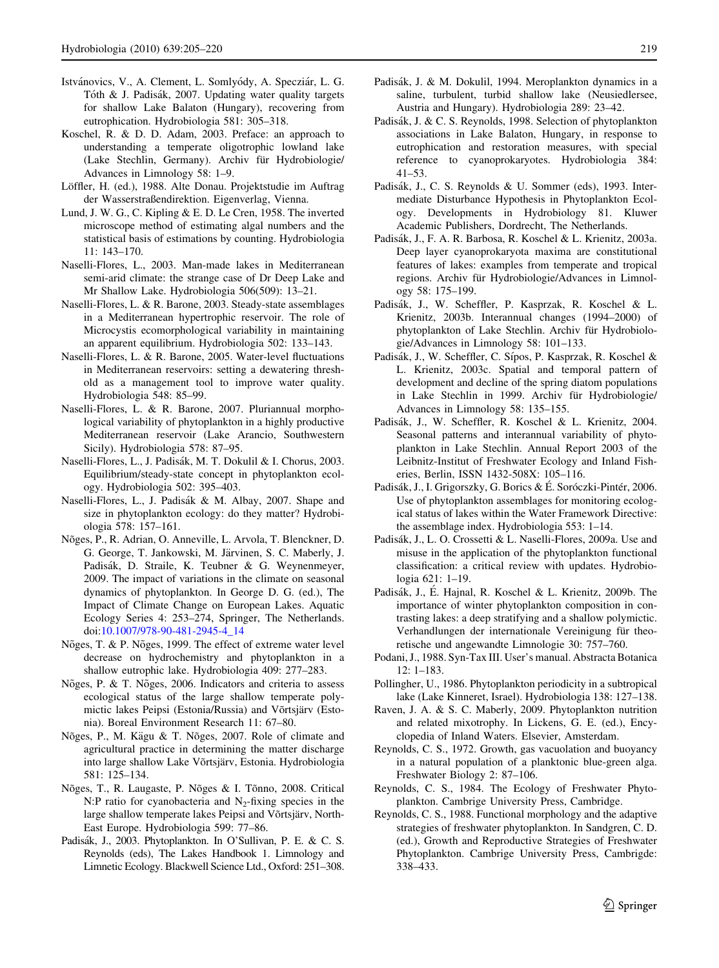- <span id="page-14-0"></span>Istvánovics, V., A. Clement, L. Somlyódy, A. Specziár, L. G. Tóth & J. Padisák, 2007. Updating water quality targets for shallow Lake Balaton (Hungary), recovering from eutrophication. Hydrobiologia 581: 305–318.
- Koschel, R. & D. D. Adam, 2003. Preface: an approach to understanding a temperate oligotrophic lowland lake (Lake Stechlin, Germany). Archiv für Hydrobiologie/ Advances in Limnology 58: 1–9.
- Löffler, H. (ed.), 1988. Alte Donau. Projektstudie im Auftrag der Wasserstraßendirektion. Eigenverlag, Vienna.
- Lund, J. W. G., C. Kipling & E. D. Le Cren, 1958. The inverted microscope method of estimating algal numbers and the statistical basis of estimations by counting. Hydrobiologia 11: 143–170.
- Naselli-Flores, L., 2003. Man-made lakes in Mediterranean semi-arid climate: the strange case of Dr Deep Lake and Mr Shallow Lake. Hydrobiologia 506(509): 13–21.
- Naselli-Flores, L. & R. Barone, 2003. Steady-state assemblages in a Mediterranean hypertrophic reservoir. The role of Microcystis ecomorphological variability in maintaining an apparent equilibrium. Hydrobiologia 502: 133–143.
- Naselli-Flores, L. & R. Barone, 2005. Water-level fluctuations in Mediterranean reservoirs: setting a dewatering threshold as a management tool to improve water quality. Hydrobiologia 548: 85–99.
- Naselli-Flores, L. & R. Barone, 2007. Pluriannual morphological variability of phytoplankton in a highly productive Mediterranean reservoir (Lake Arancio, Southwestern Sicily). Hydrobiologia 578: 87–95.
- Naselli-Flores, L., J. Padisa´k, M. T. Dokulil & I. Chorus, 2003. Equilibrium/steady-state concept in phytoplankton ecology. Hydrobiologia 502: 395–403.
- Naselli-Flores, L., J. Padisák & M. Albay, 2007. Shape and size in phytoplankton ecology: do they matter? Hydrobiologia 578: 157–161.
- Nõges, P., R. Adrian, O. Anneville, L. Arvola, T. Blenckner, D. G. George, T. Jankowski, M. Järvinen, S. C. Maberly, J. Padisák, D. Straile, K. Teubner & G. Weynenmeyer, 2009. The impact of variations in the climate on seasonal dynamics of phytoplankton. In George D. G. (ed.), The Impact of Climate Change on European Lakes. Aquatic Ecology Series 4: 253–274, Springer, The Netherlands. doi[:10.1007/978-90-481-2945-4\\_14](http://dx.doi.org/10.1007/978-90-481-2945-4_14)
- Nõges, T. & P. Nõges, 1999. The effect of extreme water level decrease on hydrochemistry and phytoplankton in a shallow eutrophic lake. Hydrobiologia 409: 277–283.
- Nõges, P. & T. Nõges, 2006. Indicators and criteria to assess ecological status of the large shallow temperate polymictic lakes Peipsi (Estonia/Russia) and Võrtsjärv (Estonia). Boreal Environment Research 11: 67–80.
- Nõges, P., M. Kägu & T. Nõges, 2007. Role of climate and agricultural practice in determining the matter discharge into large shallow Lake Võrtsjärv, Estonia. Hydrobiologia 581: 125–134.
- Nõges, T., R. Laugaste, P. Nõges & I. Tõnno, 2008. Critical N:P ratio for cyanobacteria and  $N_2$ -fixing species in the large shallow temperate lakes Peipsi and Võrtsjärv, North-East Europe. Hydrobiologia 599: 77–86.
- Padisák, J., 2003. Phytoplankton. In O'Sullivan, P. E. & C. S. Reynolds (eds), The Lakes Handbook 1. Limnology and Limnetic Ecology. Blackwell Science Ltd., Oxford: 251–308.
- Padisák, J. & M. Dokulil, 1994. Meroplankton dynamics in a saline, turbulent, turbid shallow lake (Neusiedlersee, Austria and Hungary). Hydrobiologia 289: 23–42.
- Padisák, J. & C. S. Reynolds, 1998. Selection of phytoplankton associations in Lake Balaton, Hungary, in response to eutrophication and restoration measures, with special reference to cyanoprokaryotes. Hydrobiologia 384: 41–53.
- Padisák, J., C. S. Reynolds & U. Sommer (eds), 1993. Intermediate Disturbance Hypothesis in Phytoplankton Ecology. Developments in Hydrobiology 81. Kluwer Academic Publishers, Dordrecht, The Netherlands.
- Padisák, J., F. A. R. Barbosa, R. Koschel & L. Krienitz, 2003a. Deep layer cyanoprokaryota maxima are constitutional features of lakes: examples from temperate and tropical regions. Archiv für Hydrobiologie/Advances in Limnology 58: 175–199.
- Padisa´k, J., W. Scheffler, P. Kasprzak, R. Koschel & L. Krienitz, 2003b. Interannual changes (1994–2000) of phytoplankton of Lake Stechlin. Archiv für Hydrobiologie/Advances in Limnology 58: 101–133.
- Padisák, J., W. Scheffler, C. Sípos, P. Kasprzak, R. Koschel & L. Krienitz, 2003c. Spatial and temporal pattern of development and decline of the spring diatom populations in Lake Stechlin in 1999. Archiv für Hydrobiologie/ Advances in Limnology 58: 135–155.
- Padisa´k, J., W. Scheffler, R. Koschel & L. Krienitz, 2004. Seasonal patterns and interannual variability of phytoplankton in Lake Stechlin. Annual Report 2003 of the Leibnitz-Institut of Freshwater Ecology and Inland Fisheries, Berlin, ISSN 1432-508X: 105–116.
- Padisák, J., I. Grigorszky, G. Borics & É. Soróczki-Pintér, 2006. Use of phytoplankton assemblages for monitoring ecological status of lakes within the Water Framework Directive: the assemblage index. Hydrobiologia 553: 1–14.
- Padisák, J., L. O. Crossetti & L. Naselli-Flores, 2009a. Use and misuse in the application of the phytoplankton functional classification: a critical review with updates. Hydrobiologia 621: 1–19.
- Padisák, J., E. Hajnal, R. Koschel & L. Krienitz, 2009b. The importance of winter phytoplankton composition in contrasting lakes: a deep stratifying and a shallow polymictic. Verhandlungen der internationale Vereinigung für theoretische und angewandte Limnologie 30: 757–760.
- Podani, J., 1988. Syn-Tax III. User's manual. Abstracta Botanica 12: 1–183.
- Pollingher, U., 1986. Phytoplankton periodicity in a subtropical lake (Lake Kinneret, Israel). Hydrobiologia 138: 127–138.
- Raven, J. A. & S. C. Maberly, 2009. Phytoplankton nutrition and related mixotrophy. In Lickens, G. E. (ed.), Encyclopedia of Inland Waters. Elsevier, Amsterdam.
- Reynolds, C. S., 1972. Growth, gas vacuolation and buoyancy in a natural population of a planktonic blue-green alga. Freshwater Biology 2: 87–106.
- Reynolds, C. S., 1984. The Ecology of Freshwater Phytoplankton. Cambrige University Press, Cambridge.
- Reynolds, C. S., 1988. Functional morphology and the adaptive strategies of freshwater phytoplankton. In Sandgren, C. D. (ed.), Growth and Reproductive Strategies of Freshwater Phytoplankton. Cambrige University Press, Cambrigde: 338–433.